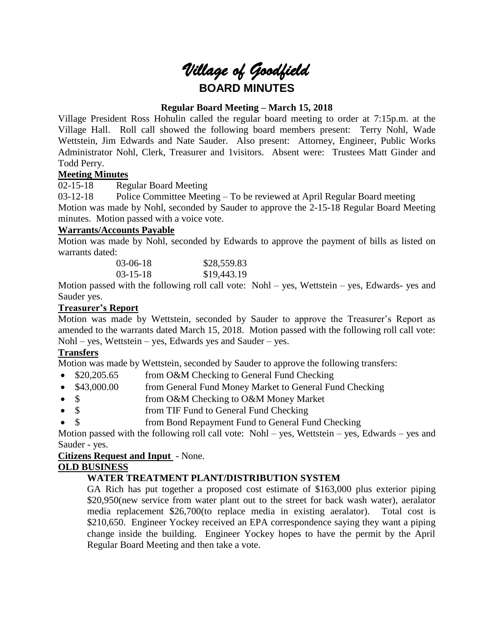

# **Regular Board Meeting – March 15, 2018**

Village President Ross Hohulin called the regular board meeting to order at 7:15p.m. at the Village Hall. Roll call showed the following board members present: Terry Nohl, Wade Wettstein, Jim Edwards and Nate Sauder. Also present: Attorney, Engineer, Public Works Administrator Nohl, Clerk, Treasurer and 1visitors. Absent were: Trustees Matt Ginder and Todd Perry.

# **Meeting Minutes**

02-15-18 Regular Board Meeting

03-12-18 Police Committee Meeting – To be reviewed at April Regular Board meeting Motion was made by Nohl, seconded by Sauder to approve the 2-15-18 Regular Board Meeting minutes. Motion passed with a voice vote.

## **Warrants/Accounts Payable**

Motion was made by Nohl, seconded by Edwards to approve the payment of bills as listed on warrants dated:

| $03-06-18$     | \$28,559.83 |
|----------------|-------------|
| $03 - 15 - 18$ | \$19,443.19 |

Motion passed with the following roll call vote: Nohl – yes, Wettstein – yes, Edwards- yes and Sauder yes.

# **Treasurer's Report**

Motion was made by Wettstein, seconded by Sauder to approve the Treasurer's Report as amended to the warrants dated March 15, 2018. Motion passed with the following roll call vote: Nohl – yes, Wettstein – yes, Edwards yes and Sauder – yes.

# **Transfers**

Motion was made by Wettstein, seconded by Sauder to approve the following transfers:

- \$20,205.65 from O&M Checking to General Fund Checking
- \$43,000.00 from General Fund Money Market to General Fund Checking
- \$ from O&M Checking to O&M Money Market
- \$ from TIF Fund to General Fund Checking
- \$ from Bond Repayment Fund to General Fund Checking

Motion passed with the following roll call vote: Nohl – yes, Wettstein – yes, Edwards – yes and Sauder - yes.

## **Citizens Request and Input** - None.

## **OLD BUSINESS**

# **WATER TREATMENT PLANT/DISTRIBUTION SYSTEM**

GA Rich has put together a proposed cost estimate of \$163,000 plus exterior piping \$20,950(new service from water plant out to the street for back wash water), aeralator media replacement \$26,700(to replace media in existing aeralator). Total cost is \$210,650. Engineer Yockey received an EPA correspondence saying they want a piping change inside the building. Engineer Yockey hopes to have the permit by the April Regular Board Meeting and then take a vote.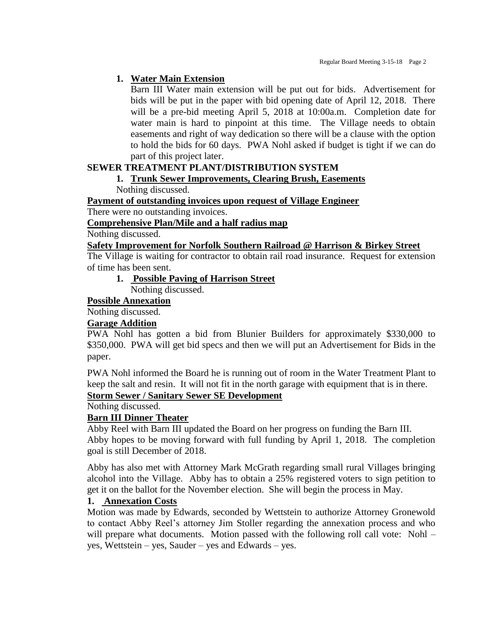# **1. Water Main Extension**

Barn III Water main extension will be put out for bids. Advertisement for bids will be put in the paper with bid opening date of April 12, 2018. There will be a pre-bid meeting April 5, 2018 at 10:00a.m. Completion date for water main is hard to pinpoint at this time. The Village needs to obtain easements and right of way dedication so there will be a clause with the option to hold the bids for 60 days. PWA Nohl asked if budget is tight if we can do part of this project later.

# **SEWER TREATMENT PLANT/DISTRIBUTION SYSTEM**

#### **1. Trunk Sewer Improvements, Clearing Brush, Easements** Nothing discussed.

**Payment of outstanding invoices upon request of Village Engineer**

There were no outstanding invoices.

**Comprehensive Plan/Mile and a half radius map**

Nothing discussed.

#### **Safety Improvement for Norfolk Southern Railroad @ Harrison & Birkey Street**

The Village is waiting for contractor to obtain rail road insurance. Request for extension of time has been sent.

**1. Possible Paving of Harrison Street**

Nothing discussed.

# **Possible Annexation**

Nothing discussed.

## **Garage Addition**

PWA Nohl has gotten a bid from Blunier Builders for approximately \$330,000 to \$350,000. PWA will get bid specs and then we will put an Advertisement for Bids in the paper.

PWA Nohl informed the Board he is running out of room in the Water Treatment Plant to keep the salt and resin. It will not fit in the north garage with equipment that is in there.

# **Storm Sewer / Sanitary Sewer SE Development**

Nothing discussed.

## **Barn III Dinner Theater**

Abby Reel with Barn III updated the Board on her progress on funding the Barn III. Abby hopes to be moving forward with full funding by April 1, 2018. The completion goal is still December of 2018.

Abby has also met with Attorney Mark McGrath regarding small rural Villages bringing alcohol into the Village. Abby has to obtain a 25% registered voters to sign petition to get it on the ballot for the November election. She will begin the process in May.

# **1. Annexation Costs**

Motion was made by Edwards, seconded by Wettstein to authorize Attorney Gronewold to contact Abby Reel's attorney Jim Stoller regarding the annexation process and who will prepare what documents. Motion passed with the following roll call vote: Nohl – yes, Wettstein – yes, Sauder – yes and Edwards – yes.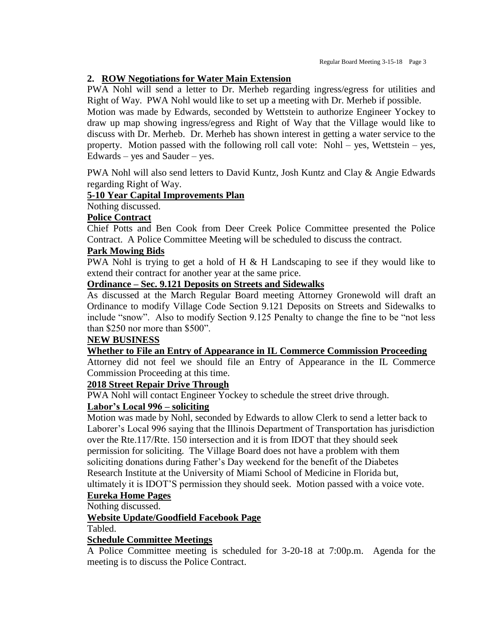## **2. ROW Negotiations for Water Main Extension**

PWA Nohl will send a letter to Dr. Merheb regarding ingress/egress for utilities and Right of Way. PWA Nohl would like to set up a meeting with Dr. Merheb if possible.

Motion was made by Edwards, seconded by Wettstein to authorize Engineer Yockey to draw up map showing ingress/egress and Right of Way that the Village would like to discuss with Dr. Merheb. Dr. Merheb has shown interest in getting a water service to the property. Motion passed with the following roll call vote: Nohl – yes, Wettstein – yes, Edwards – yes and Sauder – yes.

PWA Nohl will also send letters to David Kuntz, Josh Kuntz and Clay & Angie Edwards regarding Right of Way.

#### **5-10 Year Capital Improvements Plan**

Nothing discussed.

#### **Police Contract**

Chief Potts and Ben Cook from Deer Creek Police Committee presented the Police Contract. A Police Committee Meeting will be scheduled to discuss the contract.

#### **Park Mowing Bids**

PWA Nohl is trying to get a hold of H  $&$  H Landscaping to see if they would like to extend their contract for another year at the same price.

#### **Ordinance – Sec. 9.121 Deposits on Streets and Sidewalks**

As discussed at the March Regular Board meeting Attorney Gronewold will draft an Ordinance to modify Village Code Section 9.121 Deposits on Streets and Sidewalks to include "snow". Also to modify Section 9.125 Penalty to change the fine to be "not less than \$250 nor more than \$500".

#### **NEW BUSINESS**

**Whether to File an Entry of Appearance in IL Commerce Commission Proceeding**

Attorney did not feel we should file an Entry of Appearance in the IL Commerce Commission Proceeding at this time.

## **2018 Street Repair Drive Through**

PWA Nohl will contact Engineer Yockey to schedule the street drive through.

## **Labor's Local 996 – soliciting**

Motion was made by Nohl, seconded by Edwards to allow Clerk to send a letter back to Laborer's Local 996 saying that the Illinois Department of Transportation has jurisdiction over the Rte.117/Rte. 150 intersection and it is from IDOT that they should seek permission for soliciting. The Village Board does not have a problem with them soliciting donations during Father's Day weekend for the benefit of the Diabetes Research Institute at the University of Miami School of Medicine in Florida but, ultimately it is IDOT'S permission they should seek. Motion passed with a voice vote.

#### **Eureka Home Pages**

Nothing discussed.

## **Website Update/Goodfield Facebook Page**

Tabled.

#### **Schedule Committee Meetings**

A Police Committee meeting is scheduled for 3-20-18 at 7:00p.m. Agenda for the meeting is to discuss the Police Contract.